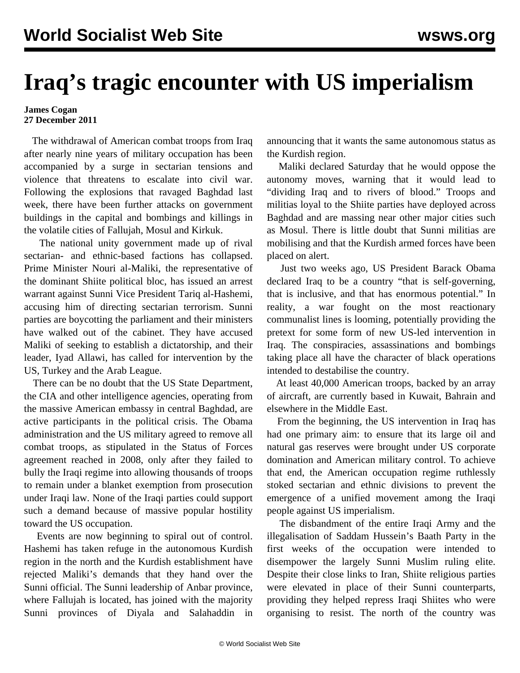## **Iraq's tragic encounter with US imperialism**

## **James Cogan 27 December 2011**

 The withdrawal of American combat troops from Iraq after nearly nine years of military occupation has been accompanied by a surge in sectarian tensions and violence that threatens to escalate into civil war. Following the explosions that ravaged Baghdad last week, there have been further attacks on government buildings in the capital and bombings and killings in the volatile cities of Fallujah, Mosul and Kirkuk.

 The national unity government made up of rival sectarian- and ethnic-based factions has collapsed. Prime Minister Nouri al-Maliki, the representative of the dominant Shiite political bloc, has issued an arrest warrant against Sunni Vice President Tariq al-Hashemi, accusing him of directing sectarian terrorism. Sunni parties are boycotting the parliament and their ministers have walked out of the cabinet. They have accused Maliki of seeking to establish a dictatorship, and their leader, Iyad Allawi, has called for intervention by the US, Turkey and the Arab League.

 There can be no doubt that the US State Department, the CIA and other intelligence agencies, operating from the massive American embassy in central Baghdad, are active participants in the political crisis. The Obama administration and the US military agreed to remove all combat troops, as stipulated in the Status of Forces agreement reached in 2008, only after they failed to bully the Iraqi regime into allowing thousands of troops to remain under a blanket exemption from prosecution under Iraqi law. None of the Iraqi parties could support such a demand because of massive popular hostility toward the US occupation.

 Events are now beginning to spiral out of control. Hashemi has taken refuge in the autonomous Kurdish region in the north and the Kurdish establishment have rejected Maliki's demands that they hand over the Sunni official. The Sunni leadership of Anbar province, where Fallujah is located, has joined with the majority Sunni provinces of Diyala and Salahaddin in announcing that it wants the same autonomous status as the Kurdish region.

 Maliki declared Saturday that he would oppose the autonomy moves, warning that it would lead to "dividing Iraq and to rivers of blood." Troops and militias loyal to the Shiite parties have deployed across Baghdad and are massing near other major cities such as Mosul. There is little doubt that Sunni militias are mobilising and that the Kurdish armed forces have been placed on alert.

 Just two weeks ago, US President Barack Obama declared Iraq to be a country "that is self-governing, that is inclusive, and that has enormous potential." In reality, a war fought on the most reactionary communalist lines is looming, potentially providing the pretext for some form of new US-led intervention in Iraq. The conspiracies, assassinations and bombings taking place all have the character of black operations intended to destabilise the country.

 At least 40,000 American troops, backed by an array of aircraft, are currently based in Kuwait, Bahrain and elsewhere in the Middle East.

 From the beginning, the US intervention in Iraq has had one primary aim: to ensure that its large oil and natural gas reserves were brought under US corporate domination and American military control. To achieve that end, the American occupation regime ruthlessly stoked sectarian and ethnic divisions to prevent the emergence of a unified movement among the Iraqi people against US imperialism.

 The disbandment of the entire Iraqi Army and the illegalisation of Saddam Hussein's Baath Party in the first weeks of the occupation were intended to disempower the largely Sunni Muslim ruling elite. Despite their close links to Iran, Shiite religious parties were elevated in place of their Sunni counterparts, providing they helped repress Iraqi Shiites who were organising to resist. The north of the country was